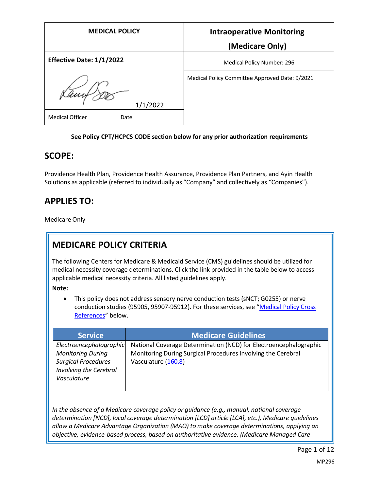| <b>MEDICAL POLICY</b>           | <b>Intraoperative Monitoring</b>               |
|---------------------------------|------------------------------------------------|
|                                 | (Medicare Only)                                |
| <b>Effective Date: 1/1/2022</b> | Medical Policy Number: 296                     |
| Kany<br>1/1/2022                | Medical Policy Committee Approved Date: 9/2021 |
| <b>Medical Officer</b><br>Date  |                                                |

#### **See Policy CPT/HCPCS CODE section below for any prior authorization requirements**

#### **SCOPE:**

Providence Health Plan, Providence Health Assurance, Providence Plan Partners, and Ayin Health Solutions as applicable (referred to individually as "Company" and collectively as "Companies").

## **APPLIES TO:**

Medicare Only

# **MEDICARE POLICY CRITERIA**

The following Centers for Medicare & Medicaid Service (CMS) guidelines should be utilized for medical necessity coverage determinations. Click the link provided in the table below to access applicable medical necessity criteria. All listed guidelines apply.

**Note:**

• This policy does not address sensory nerve conduction tests (sNCT; G0255) or nerve conduction studies (95905, 95907-95912). For these services, see "[Medical Policy Cross](#page-11-0)  [References](#page-11-0)" below.

| <b>Service</b>                                       | <b>Medicare Guidelines</b>                                        |
|------------------------------------------------------|-------------------------------------------------------------------|
| Electroencephalographic                              | National Coverage Determination (NCD) for Electroencephalographic |
| <b>Monitoring During</b>                             | Monitoring During Surgical Procedures Involving the Cerebral      |
| <b>Surgical Procedures</b><br>Involving the Cerebral | Vasculature (160.8)                                               |
| Vasculature                                          |                                                                   |
|                                                      |                                                                   |

*In the absence of a Medicare coverage policy or guidance (e.g., manual, national coverage determination [NCD], local coverage determination [LCD] article [LCA], etc.), Medicare guidelines allow a Medicare Advantage Organization (MAO) to make coverage determinations, applying an objective, evidence-based process, based on authoritative evidence. (Medicare Managed Care*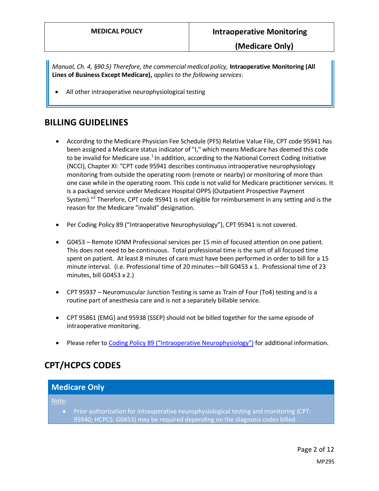*Manual, Ch. 4, §90.5) Therefore, the commercial medical policy,* **Intraoperative Monitoring (All Lines of Business Except Medicare),** *applies to the following services:*

All other intraoperative neurophysiological testing

## **BILLING GUIDELINES**

- According to the Medicare Physician Fee Schedule (PFS) Relative Value File, CPT code 95941 has been assigned a Medicare status indicator of "I," which means Medicare has deemed this code to be invalid for Medicare use.<sup>1</sup> In addition, according to the National Correct Coding Initiative (NCCI), Chapter XI: "CPT code 95941 describes continuous intraoperative neurophysiology monitoring from outside the operating room (remote or nearby) or monitoring of more than one case while in the operating room. This code is not valid for Medicare practitioner services. It is a packaged service under Medicare Hospital OPPS (Outpatient Prospective Payment System)."<sup>2</sup> Therefore, CPT code 95941 is not eligible for reimbursement in any setting and is the reason for the Medicare "invalid" designation.
- Per Coding Policy 89 ("Intraoperative Neurophysiology"), CPT 95941 is not covered.
- G0453 Remote IONM Professional services per 15 min of focused attention on one patient. This does not need to be continuous. Total professional time is the sum of all focused time spent on patient. At least 8 minutes of care must have been performed in order to bill for a 15 minute interval. (i.e. Professional time of 20 minutes—bill G0453 x 1. Professional time of 23 minutes, bill G0453 x 2.)
- CPT 95937 Neuromuscular Junction Testing is same as Train of Four (To4) testing and is a routine part of anesthesia care and is not a separately billable service.
- CPT 95861 (EMG) and 95938 (SSEP) should not be billed together for the same episode of intraoperative monitoring.
- Please refer to Coding [Policy 89 \("Intraoperative Neurophysiology"\)](https://www.providencehealthplan.com/-/media/providence/website/pdfs/providers/medical-policy-and-provider-information/billing-payment-and-coding-policies/php_coding_89.pdf?sc_lang=en&rev=2687806b1761443da2a8ef3cb52b7707&hash=5BBADE8EF298A628B8C63FB03E1980BE) for additional information.

# **CPT/HCPCS CODES**

| Note:                                                                         | <b>Medicare Only</b>                                                                   |
|-------------------------------------------------------------------------------|----------------------------------------------------------------------------------------|
| 95940; HCPCS: G0453) may be required depending on the diagnosis codes billed. | Prior authorization for intraoperative neurophysiological testing and monitoring (CPT: |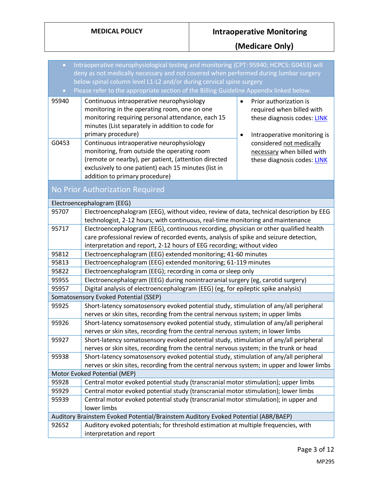# **MEDICAL POLICY Intraoperative Monitoring**

**(Medicare Only)**

| $\bullet$      | Intraoperative neurophysiological testing and monitoring (CPT: 95940; HCPCS: G0453) will<br>deny as not medically necessary and not covered when performed during lumbar surgery<br>below spinal column level L1-L2 and/or during cervical spine surgery              |                                                                                                                                                             |  |  |  |  |  |
|----------------|-----------------------------------------------------------------------------------------------------------------------------------------------------------------------------------------------------------------------------------------------------------------------|-------------------------------------------------------------------------------------------------------------------------------------------------------------|--|--|--|--|--|
| $\bullet$      | Please refer to the appropriate section of the Billing Guideline Appendix linked below.                                                                                                                                                                               |                                                                                                                                                             |  |  |  |  |  |
| 95940<br>G0453 | Continuous intraoperative neurophysiology<br>monitoring in the operating room, one on one<br>monitoring requiring personal attendance, each 15<br>minutes (List separately in addition to code for<br>primary procedure)<br>Continuous intraoperative neurophysiology | Prior authorization is<br>required when billed with<br>these diagnosis codes: LINK<br>Intraoperative monitoring is<br>$\bullet$<br>considered not medically |  |  |  |  |  |
|                | monitoring, from outside the operating room<br>(remote or nearby), per patient, (attention directed<br>exclusively to one patient) each 15 minutes (list in<br>addition to primary procedure)                                                                         | necessary when billed with<br>these diagnosis codes: LINK                                                                                                   |  |  |  |  |  |
|                | No Prior Authorization Required                                                                                                                                                                                                                                       |                                                                                                                                                             |  |  |  |  |  |
|                | Electroencephalogram (EEG)                                                                                                                                                                                                                                            |                                                                                                                                                             |  |  |  |  |  |
| 95707          | Electroencephalogram (EEG), without video, review of data, technical description by EEG<br>technologist, 2-12 hours; with continuous, real-time monitoring and maintenance                                                                                            |                                                                                                                                                             |  |  |  |  |  |
| 95717          | Electroencephalogram (EEG), continuous recording, physician or other qualified health<br>care professional review of recorded events, analysis of spike and seizure detection,<br>interpretation and report, 2-12 hours of EEG recording; without video               |                                                                                                                                                             |  |  |  |  |  |
| 95812          | Electroencephalogram (EEG) extended monitoring; 41-60 minutes                                                                                                                                                                                                         |                                                                                                                                                             |  |  |  |  |  |
| 95813          | Electroencephalogram (EEG) extended monitoring; 61-119 minutes                                                                                                                                                                                                        |                                                                                                                                                             |  |  |  |  |  |
| 95822          | Electroencephalogram (EEG); recording in coma or sleep only                                                                                                                                                                                                           |                                                                                                                                                             |  |  |  |  |  |
| 95955          | Electroencephalogram (EEG) during nonintracranial surgery (eg, carotid surgery)                                                                                                                                                                                       |                                                                                                                                                             |  |  |  |  |  |
| 95957          | Digital analysis of electroencephalogram (EEG) (eg, for epileptic spike analysis)                                                                                                                                                                                     |                                                                                                                                                             |  |  |  |  |  |
|                | Somatosensory Evoked Potential (SSEP)                                                                                                                                                                                                                                 |                                                                                                                                                             |  |  |  |  |  |
| 95925          | Short-latency somatosensory evoked potential study, stimulation of any/all peripheral<br>nerves or skin sites, recording from the central nervous system; in upper limbs                                                                                              |                                                                                                                                                             |  |  |  |  |  |
| 95926          | Short-latency somatosensory evoked potential study, stimulation of any/all peripheral<br>nerves or skin sites, recording from the central nervous system; in lower limbs                                                                                              |                                                                                                                                                             |  |  |  |  |  |
| 95927          | Short-latency somatosensory evoked potential study, stimulation of any/all peripheral                                                                                                                                                                                 |                                                                                                                                                             |  |  |  |  |  |
|                | nerves or skin sites, recording from the central nervous system; in the trunk or head                                                                                                                                                                                 |                                                                                                                                                             |  |  |  |  |  |
| 95938          | Short-latency somatosensory evoked potential study, stimulation of any/all peripheral                                                                                                                                                                                 |                                                                                                                                                             |  |  |  |  |  |
|                | nerves or skin sites, recording from the central nervous system; in upper and lower limbs                                                                                                                                                                             |                                                                                                                                                             |  |  |  |  |  |
|                | Motor Evoked Potential (MEP)                                                                                                                                                                                                                                          |                                                                                                                                                             |  |  |  |  |  |
| 95928          | Central motor evoked potential study (transcranial motor stimulation); upper limbs                                                                                                                                                                                    |                                                                                                                                                             |  |  |  |  |  |
| 95929          | Central motor evoked potential study (transcranial motor stimulation); lower limbs                                                                                                                                                                                    |                                                                                                                                                             |  |  |  |  |  |
| 95939          | Central motor evoked potential study (transcranial motor stimulation); in upper and<br>lower limbs                                                                                                                                                                    |                                                                                                                                                             |  |  |  |  |  |
|                | Auditory Brainstem Evoked Potential/Brainstem Auditory Evoked Potential (ABR/BAEP)                                                                                                                                                                                    |                                                                                                                                                             |  |  |  |  |  |
| 92652          | Auditory evoked potentials; for threshold estimation at multiple frequencies, with                                                                                                                                                                                    |                                                                                                                                                             |  |  |  |  |  |
|                | interpretation and report                                                                                                                                                                                                                                             |                                                                                                                                                             |  |  |  |  |  |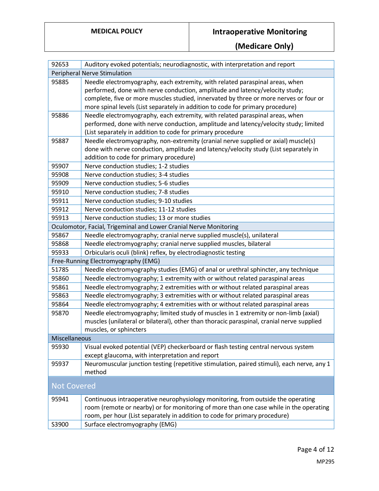# **MEDICAL POLICY Intraoperative Monitoring**

**(Medicare Only)**

| 92653              | Auditory evoked potentials; neurodiagnostic, with interpretation and report                |
|--------------------|--------------------------------------------------------------------------------------------|
|                    | Peripheral Nerve Stimulation                                                               |
| 95885              | Needle electromyography, each extremity, with related paraspinal areas, when               |
|                    | performed, done with nerve conduction, amplitude and latency/velocity study;               |
|                    | complete, five or more muscles studied, innervated by three or more nerves or four or      |
|                    | more spinal levels (List separately in addition to code for primary procedure)             |
| 95886              | Needle electromyography, each extremity, with related paraspinal areas, when               |
|                    | performed, done with nerve conduction, amplitude and latency/velocity study; limited       |
|                    | (List separately in addition to code for primary procedure                                 |
| 95887              | Needle electromyography, non-extremity (cranial nerve supplied or axial) muscle(s)         |
|                    | done with nerve conduction, amplitude and latency/velocity study (List separately in       |
|                    | addition to code for primary procedure)                                                    |
| 95907              | Nerve conduction studies; 1-2 studies                                                      |
| 95908              | Nerve conduction studies; 3-4 studies                                                      |
| 95909              | Nerve conduction studies; 5-6 studies                                                      |
| 95910              | Nerve conduction studies; 7-8 studies                                                      |
| 95911              | Nerve conduction studies; 9-10 studies                                                     |
| 95912              | Nerve conduction studies; 11-12 studies                                                    |
| 95913              | Nerve conduction studies; 13 or more studies                                               |
|                    | Oculomotor, Facial, Trigeminal and Lower Cranial Nerve Monitoring                          |
| 95867              | Needle electromyography; cranial nerve supplied muscle(s), unilateral                      |
| 95868              | Needle electromyography; cranial nerve supplied muscles, bilateral                         |
| 95933              | Orbicularis oculi (blink) reflex, by electrodiagnostic testing                             |
|                    | Free-Running Electromyography (EMG)                                                        |
| 51785              | Needle electromyography studies (EMG) of anal or urethral sphincter, any technique         |
| 95860              | Needle electromyography; 1 extremity with or without related paraspinal areas              |
| 95861              | Needle electromyography; 2 extremities with or without related paraspinal areas            |
| 95863              | Needle electromyography; 3 extremities with or without related paraspinal areas            |
| 95864              | Needle electromyography; 4 extremities with or without related paraspinal areas            |
| 95870              | Needle electromyography; limited study of muscles in 1 extremity or non-limb (axial)       |
|                    | muscles (unilateral or bilateral), other than thoracic paraspinal, cranial nerve supplied  |
|                    | muscles, or sphincters                                                                     |
| Miscellaneous      |                                                                                            |
| 95930              | Visual evoked potential (VEP) checkerboard or flash testing central nervous system         |
|                    | except glaucoma, with interpretation and report                                            |
| 95937              | Neuromuscular junction testing (repetitive stimulation, paired stimuli), each nerve, any 1 |
|                    | method                                                                                     |
| <b>Not Covered</b> |                                                                                            |
| 95941              | Continuous intraoperative neurophysiology monitoring, from outside the operating           |
|                    | room (remote or nearby) or for monitoring of more than one case while in the operating     |
|                    | room, per hour (List separately in addition to code for primary procedure)                 |
| S3900              | Surface electromyography (EMG)                                                             |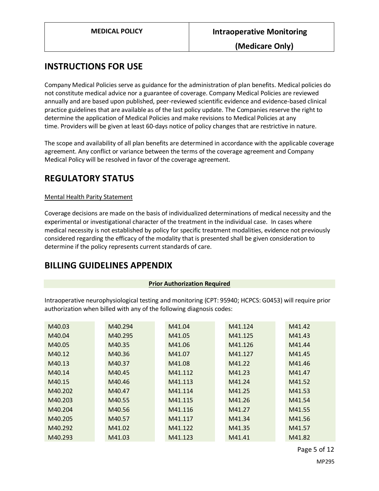**(Medicare Only)**

## **INSTRUCTIONS FOR USE**

Company Medical Policies serve as guidance for the administration of plan benefits. Medical policies do not constitute medical advice nor a guarantee of coverage. Company Medical Policies are reviewed annually and are based upon published, peer-reviewed scientific evidence and evidence-based clinical practice guidelines that are available as of the last policy update. The Companies reserve the right to determine the application of Medical Policies and make revisions to Medical Policies at any time. Providers will be given at least 60-days notice of policy changes that are restrictive in nature.

The scope and availability of all plan benefits are determined in accordance with the applicable coverage agreement. Any conflict or variance between the terms of the coverage agreement and Company Medical Policy will be resolved in favor of the coverage agreement.

## **REGULATORY STATUS**

#### Mental Health Parity Statement

Coverage decisions are made on the basis of individualized determinations of medical necessity and the experimental or investigational character of the treatment in the individual case. In cases where medical necessity is not established by policy for specific treatment modalities, evidence not previously considered regarding the efficacy of the modality that is presented shall be given consideration to determine if the policy represents current standards of care.

#### **BILLING GUIDELINES APPENDIX**

#### **Prior Authorization Required**

<span id="page-4-0"></span>Intraoperative neurophysiological testing and monitoring (CPT: 95940; HCPCS: G0453) will require prior authorization when billed with any of the following diagnosis codes:

| M40.03  | M40.294 | M41.04  | M41.124 | M41.42 |
|---------|---------|---------|---------|--------|
| M40.04  | M40.295 | M41.05  | M41.125 | M41.43 |
| M40.05  | M40.35  | M41.06  | M41.126 | M41.44 |
| M40.12  | M40.36  | M41.07  | M41.127 | M41.45 |
| M40.13  | M40.37  | M41.08  | M41.22  | M41.46 |
| M40.14  | M40.45  | M41.112 | M41.23  | M41.47 |
| M40.15  | M40.46  | M41.113 | M41.24  | M41.52 |
| M40.202 | M40.47  | M41.114 | M41.25  | M41.53 |
| M40.203 | M40.55  | M41.115 | M41.26  | M41.54 |
| M40.204 | M40.56  | M41.116 | M41.27  | M41.55 |
| M40.205 | M40.57  | M41.117 | M41.34  | M41.56 |
| M40.292 | M41.02  | M41.122 | M41.35  | M41.57 |
| M40.293 | M41.03  | M41.123 | M41.41  | M41.82 |

Page 5 of 12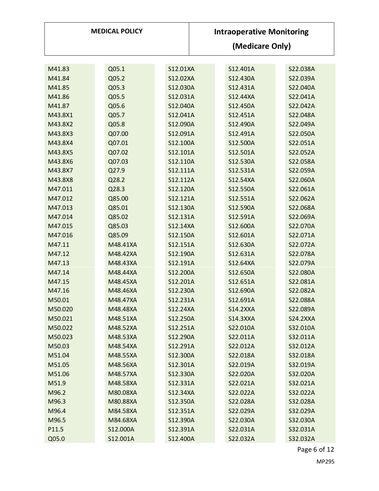| <b>MEDICAL POLICY</b> |  |          |          |          | <b>Intraoperative Monitoring</b> |                 |                 |  |                 |  |  |
|-----------------------|--|----------|----------|----------|----------------------------------|-----------------|-----------------|--|-----------------|--|--|
|                       |  |          |          |          |                                  | (Medicare Only) |                 |  |                 |  |  |
|                       |  |          |          |          |                                  |                 |                 |  |                 |  |  |
| M41.83                |  | Q05.1    |          | S12.01XA |                                  |                 | S12.401A        |  | S22.038A        |  |  |
| M41.84                |  | Q05.2    |          | S12.02XA |                                  |                 | S12.430A        |  | S22.039A        |  |  |
| M41.85                |  | Q05.3    |          | S12.030A |                                  |                 | S12.431A        |  | S22.040A        |  |  |
| M41.86                |  | Q05.5    |          | S12.031A |                                  |                 | S12.44XA        |  | S22.041A        |  |  |
| M41.87                |  | Q05.6    |          | S12.040A |                                  |                 | S12.450A        |  | S22.042A        |  |  |
| M43.8X1               |  | Q05.7    |          | S12.041A |                                  |                 | S12.451A        |  | S22.048A        |  |  |
| M43.8X2               |  | Q05.8    |          | S12.090A |                                  |                 | S12.490A        |  | S22.049A        |  |  |
| M43.8X3               |  | Q07.00   |          | S12.091A |                                  |                 | S12.491A        |  | S22.050A        |  |  |
| M43.8X4               |  | Q07.01   |          | S12.100A |                                  |                 | S12.500A        |  | S22.051A        |  |  |
| M43.8X5               |  | Q07.02   |          | S12.101A |                                  |                 | S12.501A        |  | S22.052A        |  |  |
| M43.8X6               |  | Q07.03   |          | S12.110A |                                  |                 | S12.530A        |  | S22.058A        |  |  |
| M43.8X7               |  | Q27.9    |          | S12.111A |                                  |                 | S12.531A        |  | S22.059A        |  |  |
| M43.8X8               |  | Q28.2    |          | S12.112A |                                  |                 | S12.54XA        |  | S22.060A        |  |  |
| M47.011               |  | Q28.3    |          | S12.120A |                                  |                 | S12.550A        |  | S22.061A        |  |  |
| M47.012               |  | Q85.00   | S12.121A |          |                                  |                 | S12.551A        |  | S22.062A        |  |  |
| M47.013               |  | Q85.01   | S12.130A |          |                                  |                 | S12.590A        |  | S22.068A        |  |  |
| M47.014               |  | Q85.02   | S12.131A |          |                                  |                 | S12.591A        |  | S22.069A        |  |  |
| M47.015               |  | Q85.03   | S12.14XA |          |                                  |                 | S12.600A        |  | S22.070A        |  |  |
| M47.016               |  | Q85.09   |          | S12.150A |                                  |                 | S12.601A        |  | S22.071A        |  |  |
| M47.11                |  | M48.41XA |          | S12.151A |                                  |                 | S12.630A        |  | S22.072A        |  |  |
| M47.12                |  | M48.42XA |          | S12.190A |                                  |                 | S12.631A        |  | S22.078A        |  |  |
| M47.13                |  | M48.43XA |          | S12.191A |                                  |                 | S12.64XA        |  | S22.079A        |  |  |
| M47.14                |  | M48.44XA |          | S12.200A |                                  |                 | S12.650A        |  | S22.080A        |  |  |
| M47.15                |  | M48.45XA |          | S12.201A |                                  |                 | S12.651A        |  | S22.081A        |  |  |
| M47.16                |  | M48.46XA |          | S12.230A |                                  |                 | S12.690A        |  | S22.082A        |  |  |
| M50.01                |  | M48.47XA |          | S12.231A |                                  |                 | S12.691A        |  | S22.088A        |  |  |
| M50.020               |  | M48.48XA |          | S12.24XA |                                  |                 | S14.2XXA        |  | S22.089A        |  |  |
| M50.021               |  | M48.51XA |          | S12.250A |                                  |                 | <b>S14.3XXA</b> |  | <b>S24.2XXA</b> |  |  |
| M50.022               |  | M48.52XA |          | S12.251A |                                  |                 | S22.010A        |  | S32.010A        |  |  |
| M50.023               |  | M48.53XA |          | S12.290A |                                  |                 | S22.011A        |  | S32.011A        |  |  |
| M50.03                |  | M48.54XA |          | S12.291A |                                  |                 | S22.012A        |  | S32.012A        |  |  |
| M51.04                |  | M48.55XA |          | S12.300A |                                  |                 | S22.018A        |  | S32.018A        |  |  |
| M51.05                |  | M48.56XA |          | S12.301A |                                  |                 | S22.019A        |  | S32.019A        |  |  |
| M51.06                |  | M48.57XA |          | S12.330A |                                  |                 | S22.020A        |  | S32.020A        |  |  |
| M51.9                 |  | M48.58XA |          | S12.331A |                                  |                 | S22.021A        |  | S32.021A        |  |  |
| M96.2                 |  | M80.08XA |          | S12.34XA |                                  |                 | S22.022A        |  | S32.022A        |  |  |
| M96.3                 |  | M80.88XA |          | S12.350A |                                  |                 | S22.028A        |  | S32.028A        |  |  |
| M96.4                 |  | M84.58XA |          | S12.351A |                                  |                 | S22.029A        |  | S32.029A        |  |  |
| M96.5                 |  | M84.68XA |          | S12.390A |                                  |                 | S22.030A        |  | S32.030A        |  |  |
| P11.5                 |  | S12.000A |          | S12.391A |                                  |                 | S22.031A        |  | S32.031A        |  |  |
| Q05.0                 |  | S12.001A |          | S12.400A |                                  |                 | S22.032A        |  | S32.032A        |  |  |

Page 6 of 12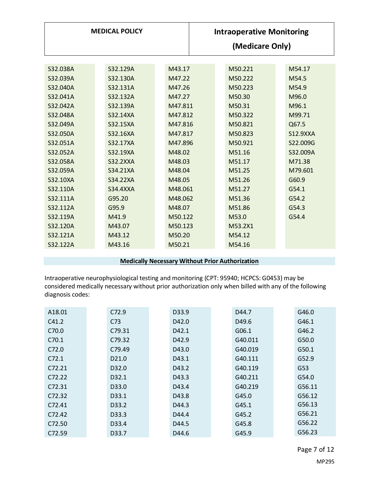|                                                                                                                                                                                  | <b>MEDICAL POLICY</b>                                                                                                                                                                 | <b>Intraoperative Monitoring</b><br>(Medicare Only)                                                                                                       |  |                                                                                                                                                           |  |                                                                                                                                                          |
|----------------------------------------------------------------------------------------------------------------------------------------------------------------------------------|---------------------------------------------------------------------------------------------------------------------------------------------------------------------------------------|-----------------------------------------------------------------------------------------------------------------------------------------------------------|--|-----------------------------------------------------------------------------------------------------------------------------------------------------------|--|----------------------------------------------------------------------------------------------------------------------------------------------------------|
| S32.038A<br>S32.039A<br>S32.040A<br>S32.041A<br>S32.042A<br>S32.048A<br>S32.049A<br>S32.050A<br>S32.051A<br>S32.052A<br>S32.058A<br>S32.059A<br>S32.10XA<br>S32.110A<br>S32.111A | S32.129A<br>S32.130A<br>S32.131A<br>S32.132A<br>S32.139A<br>S32.14XA<br>S32.15XA<br>S32.16XA<br>S32.17XA<br>S32.19XA<br>S32.2XXA<br>S34.21XA<br>S34.22XA<br><b>S34.4XXA</b><br>G95.20 | M43.17<br>M47.22<br>M47.26<br>M47.27<br>M47.811<br>M47.812<br>M47.816<br>M47.817<br>M47.896<br>M48.02<br>M48.03<br>M48.04<br>M48.05<br>M48.061<br>M48.062 |  | M50.221<br>M50.222<br>M50.223<br>M50.30<br>M50.31<br>M50.322<br>M50.821<br>M50.823<br>M50.921<br>M51.16<br>M51.17<br>M51.25<br>M51.26<br>M51.27<br>M51.36 |  | M54.17<br>M54.5<br>M54.9<br>M96.0<br>M96.1<br>M99.71<br>Q67.5<br><b>S12.9XXA</b><br>S22.009G<br>S32.009A<br>M71.38<br>M79.601<br>G60.9<br>G54.1<br>G54.2 |
| S32.112A<br>S32.119A<br>S32.120A<br>S32.121A<br>S32.122A                                                                                                                         | G95.9<br>M41.9<br>M43.07<br>M43.12<br>M43.16                                                                                                                                          | M48.07<br>M50.122<br>M50.123<br>M50.20<br>M50.21                                                                                                          |  | M51.86<br>M53.0<br>M53.2X1<br>M54.12<br>M54.16                                                                                                            |  | G54.3<br>G54.4                                                                                                                                           |

#### **Medically Necessary Without Prior Authorization**

Intraoperative neurophysiological testing and monitoring (CPT: 95940; HCPCS: G0453) may be considered medically necessary without prior authorization only when billed with any of the following diagnosis codes:

| A18.01 | C72.9             | D33.9 | D44.7             | G46.0  |
|--------|-------------------|-------|-------------------|--------|
| C41.2  | C73               | D42.0 | D <sub>49.6</sub> | G46.1  |
| C70.0  | C79.31            | D42.1 | G06.1             | G46.2  |
| C70.1  | C79.32            | D42.9 | G40.011           | G50.0  |
| C72.0  | C79.49            | D43.0 | G40.019           | G50.1  |
| C72.1  | D <sub>21.0</sub> | D43.1 | G40.111           | G52.9  |
| C72.21 | D <sub>32.0</sub> | D43.2 | G40.119           | G53    |
| C72.22 | D <sub>32.1</sub> | D43.3 | G40.211           | G54.0  |
| C72.31 | D33.0             | D43.4 | G40.219           | G56.11 |
| C72.32 | D <sub>33.1</sub> | D43.8 | G45.0             | G56.12 |
| C72.41 | D33.2             | D44.3 | G45.1             | G56.13 |
| C72.42 | D <sub>33.3</sub> | D44.4 | G45.2             | G56.21 |
| C72.50 | D <sub>33.4</sub> | D44.5 | G45.8             | G56.22 |
| C72.59 | D33.7             | D44.6 | G45.9             | G56.23 |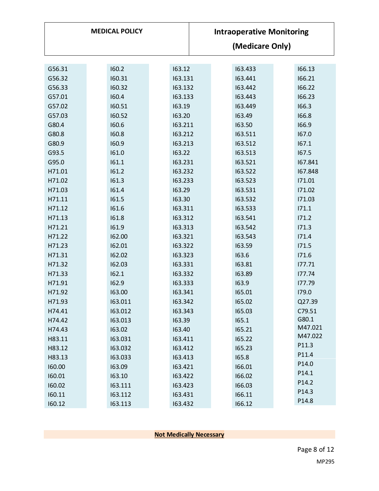|        | <b>MEDICAL POLICY</b> |         | <b>Intraoperative Monitoring</b><br>(Medicare Only) |         |  |         |  |
|--------|-----------------------|---------|-----------------------------------------------------|---------|--|---------|--|
|        |                       |         |                                                     |         |  |         |  |
| G56.31 | 160.2                 | 163.12  |                                                     | 163.433 |  | 166.13  |  |
| G56.32 | 160.31                | 163.131 |                                                     | 163.441 |  | 166.21  |  |
| G56.33 | 160.32                | 163.132 |                                                     | 163.442 |  | 166.22  |  |
| G57.01 | 160.4                 | 163.133 |                                                     | 163.443 |  | 166.23  |  |
| G57.02 | 160.51                | 163.19  |                                                     | 163.449 |  | 166.3   |  |
| G57.03 | 160.52                | 163.20  |                                                     | 163.49  |  | 166.8   |  |
| G80.4  | 160.6                 | 163.211 |                                                     | 163.50  |  | 166.9   |  |
| G80.8  | 160.8                 | 163.212 |                                                     | 163.511 |  | 167.0   |  |
| G80.9  | 160.9                 | 163.213 |                                                     | 163.512 |  | 167.1   |  |
| G93.5  | 161.0                 | 163.22  |                                                     | 163.513 |  | 167.5   |  |
| G95.0  | 161.1                 | 163.231 |                                                     | 163.521 |  | 167.841 |  |
| H71.01 | 161.2                 | 163.232 |                                                     | 163.522 |  | 167.848 |  |
| H71.02 | 161.3                 | 163.233 |                                                     | 163.523 |  | 171.01  |  |
| H71.03 | 161.4                 | 163.29  |                                                     | 163.531 |  | 171.02  |  |
| H71.11 | 161.5                 | 163.30  |                                                     | 163.532 |  | 171.03  |  |
| H71.12 | 161.6                 | 163.311 |                                                     | 163.533 |  | 171.1   |  |
| H71.13 | 161.8                 | 163.312 |                                                     | 163.541 |  | 171.2   |  |
| H71.21 | 161.9                 | 163.313 |                                                     | 163.542 |  | 171.3   |  |
| H71.22 | 162.00                | 163.321 |                                                     | 163.543 |  | 171.4   |  |
| H71.23 | 162.01                | 163.322 |                                                     | 163.59  |  | 171.5   |  |
| H71.31 | 162.02                | 163.323 |                                                     | 163.6   |  | 171.6   |  |
| H71.32 | 162.03                | 163.331 |                                                     | 163.81  |  | 177.71  |  |
| H71.33 | 162.1                 | 163.332 |                                                     | 163.89  |  | 177.74  |  |
| H71.91 | 162.9                 | 163.333 |                                                     | 163.9   |  | 177.79  |  |
| H71.92 | 163.00                | 163.341 |                                                     | 165.01  |  | 179.0   |  |
| H71.93 | 163.011               | 163.342 |                                                     | 165.02  |  | Q27.39  |  |
| H74.41 | 163.012               | 163.343 |                                                     | 165.03  |  | C79.51  |  |
| H74.42 | 163.013               | 163.39  |                                                     | 165.1   |  | G80.1   |  |
| H74.43 | 163.02                | 163.40  |                                                     | 165.21  |  | M47.021 |  |
| H83.11 | 163.031               | 163.411 |                                                     | 165.22  |  | M47.022 |  |
| H83.12 | 163.032               | 163.412 |                                                     | 165.23  |  | P11.3   |  |
| H83.13 | 163.033               | 163.413 |                                                     | 165.8   |  | P11.4   |  |
| 160.00 | 163.09                | 163.421 |                                                     | 166.01  |  | P14.0   |  |
| 160.01 | 163.10                | 163.422 |                                                     | 166.02  |  | P14.1   |  |
| 160.02 | 163.111               | 163.423 |                                                     | 166.03  |  | P14.2   |  |
| 160.11 | 163.112               | 163.431 |                                                     | 166.11  |  | P14.3   |  |
| 160.12 | 163.113               | 163.432 |                                                     | 166.12  |  | P14.8   |  |

<span id="page-7-0"></span>**Not Medically Necessary**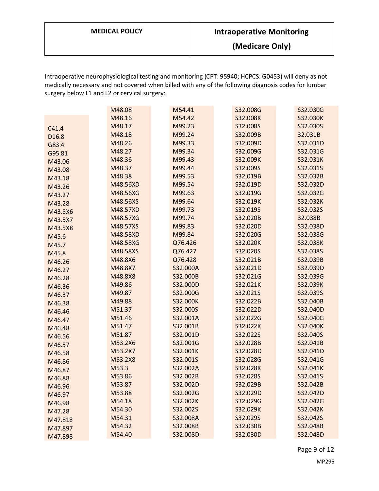**(Medicare Only)**

Intraoperative neurophysiological testing and monitoring (CPT: 95940; HCPCS: G0453) will deny as not medically necessary and not covered when billed with any of the following diagnosis codes for lumbar surgery below L1 and L2 or cervical surgery:

|         | M48.08   | M54.41   | S32.008G | S32.030G |  |
|---------|----------|----------|----------|----------|--|
|         | M48.16   | M54.42   | S32.008K | S32.030K |  |
| C41.4   | M48.17   | M99.23   | S32.008S | S32.030S |  |
| D16.8   | M48.18   | M99.24   | S32.009B | 32.031B  |  |
| G83.4   | M48.26   | M99.33   | S32.009D | S32.031D |  |
| G95.81  | M48.27   | M99.34   | S32.009G | S32.031G |  |
| M43.06  | M48.36   | M99.43   | S32.009K | S32.031K |  |
| M43.08  | M48.37   | M99.44   | S32.009S | S32.031S |  |
| M43.18  | M48.38   | M99.53   | S32.019B | S32.032B |  |
| M43.26  | M48.56XD | M99.54   | S32.019D | S32.032D |  |
| M43.27  | M48.56XG | M99.63   | S32.019G | S32.032G |  |
| M43.28  | M48.56XS | M99.64   | S32.019K | S32.032K |  |
| M43.5X6 | M48.57XD | M99.73   | S32.019S | S32.032S |  |
| M43.5X7 | M48.57XG | M99.74   | S32.020B | 32.038B  |  |
| M43.5X8 | M48.57XS | M99.83   | S32.020D | S32.038D |  |
| M45.6   | M48.58XD | M99.84   | S32.020G | S32.038G |  |
| M45.7   | M48.58XG | Q76.426  | S32.020K | S32.038K |  |
| M45.8   | M48.58XS | Q76.427  | S32.020S | S32.038S |  |
| M46.26  | M48.8X6  | Q76.428  | S32.021B | S32.039B |  |
| M46.27  | M48.8X7  | S32.000A | S32.021D | S32.039D |  |
| M46.28  | M48.8X8  | S32.000B | S32.021G | S32.039G |  |
| M46.36  | M49.86   | S32.000D | S32.021K | S32.039K |  |
| M46.37  | M49.87   | S32.000G | S32.021S | S32.039S |  |
| M46.38  | M49.88   | S32.000K | S32.022B | S32.040B |  |
| M46.46  | M51.37   | S32.000S | S32.022D | S32.040D |  |
| M46.47  | M51.46   | S32.001A | S32.022G | S32.040G |  |
| M46.48  | M51.47   | S32.001B | S32.022K | S32.040K |  |
| M46.56  | M51.87   | S32.001D | S32.022S | S32.040S |  |
| M46.57  | M53.2X6  | S32.001G | S32.028B | S32.041B |  |
| M46.58  | M53.2X7  | S32.001K | S32.028D | S32.041D |  |
| M46.86  | M53.2X8  | S32.001S | S32.028G | S32.041G |  |
| M46.87  | M53.3    | S32.002A | S32.028K | S32.041K |  |
| M46.88  | M53.86   | S32.002B | S32.028S | S32.041S |  |
| M46.96  | M53.87   | S32.002D | S32.029B | S32.042B |  |
| M46.97  | M53.88   | S32.002G | S32.029D | S32.042D |  |
| M46.98  | M54.18   | S32.002K | S32.029G | S32.042G |  |
| M47.28  | M54.30   | S32.002S | S32.029K | S32.042K |  |
| M47.818 | M54.31   | S32.008A | S32.029S | S32.042S |  |
| M47.897 | M54.32   | S32.008B | S32.030B | S32.048B |  |
| M47.898 | M54.40   | S32.008D | S32.030D | S32.048D |  |

Page 9 of 12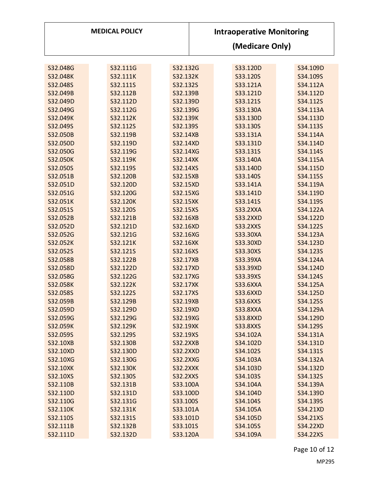| <b>MEDICAL POLICY</b> |          |                 | <b>Intraoperative Monitoring</b> |                 |                 |  |          |  |  |
|-----------------------|----------|-----------------|----------------------------------|-----------------|-----------------|--|----------|--|--|
|                       |          |                 |                                  | (Medicare Only) |                 |  |          |  |  |
|                       |          |                 |                                  |                 |                 |  |          |  |  |
| S32.048G              | S32.111G | S32.132G        |                                  |                 | S33.120D        |  | S34.109D |  |  |
| S32.048K              | S32.111K | S32.132K        |                                  |                 | S33.120S        |  | S34.109S |  |  |
| S32.048S              | S32.111S | S32.132S        |                                  |                 | S33.121A        |  | S34.112A |  |  |
| S32.049B              | S32.112B | S32.139B        |                                  |                 | S33.121D        |  | S34.112D |  |  |
| S32.049D              | S32.112D | S32.139D        |                                  |                 | S33.121S        |  | S34.112S |  |  |
| S32.049G              | S32.112G | S32.139G        |                                  |                 | S33.130A        |  | S34.113A |  |  |
| S32.049K              | S32.112K | S32.139K        |                                  |                 | S33.130D        |  | S34.113D |  |  |
| S32.049S              | S32.112S | S32.139S        |                                  |                 | S33.130S        |  | S34.113S |  |  |
| S32.050B              | S32.119B | S32.14XB        |                                  |                 | S33.131A        |  | S34.114A |  |  |
| S32.050D              | S32.119D | S32.14XD        |                                  |                 | S33.131D        |  | S34.114D |  |  |
| S32.050G              | S32.119G | S32.14XG        |                                  |                 | S33.131S        |  | S34.114S |  |  |
| S32.050K              | S32.119K | <b>S32.14XK</b> |                                  |                 | S33.140A        |  | S34.115A |  |  |
| S32.050S              | S32.119S | S32.14XS        |                                  |                 | S33.140D        |  | S34.115D |  |  |
| S32.051B              | S32.120B | S32.15XB        |                                  |                 | S33.140S        |  | S34.115S |  |  |
| S32.051D              | S32.120D | S32.15XD        |                                  |                 | S33.141A        |  | S34.119A |  |  |
| S32.051G              | S32.120G | S32.15XG        |                                  |                 | S33.141D        |  | S34.119D |  |  |
| S32.051K              | S32.120K | S32.15XK        |                                  |                 | S33.141S        |  | S34.119S |  |  |
| S32.051S              | S32.120S | S32.15XS        |                                  |                 | <b>S33.2XXA</b> |  | S34.122A |  |  |
| S32.052B              | S32.121B | S32.16XB        |                                  |                 | <b>S33.2XXD</b> |  | S34.122D |  |  |
| S32.052D              | S32.121D | S32.16XD        |                                  |                 | <b>S33.2XXS</b> |  | S34.122S |  |  |
| S32.052G              | S32.121G | S32.16XG        |                                  |                 | S33.30XA        |  | S34.123A |  |  |
| S32.052K              | S32.121K | S32.16XK        |                                  |                 | S33.30XD        |  | S34.123D |  |  |
| S32.052S              | S32.121S | S32.16XS        |                                  |                 | S33.30XS        |  | S34.123S |  |  |
| S32.058B              | S32.122B | S32.17XB        |                                  |                 | S33.39XA        |  | S34.124A |  |  |
| S32.058D              | S32.122D | S32.17XD        |                                  |                 | S33.39XD        |  | S34.124D |  |  |
| S32.058G              | S32.122G | S32.17XG        |                                  |                 | S33.39XS        |  | S34.124S |  |  |
| S32.058K              | S32.122K | S32.17XK        |                                  |                 | <b>S33.6XXA</b> |  | S34.125A |  |  |
| S32.058S              | S32.122S | S32.17XS        |                                  |                 | <b>S33.6XXD</b> |  | S34.125D |  |  |
| S32.059B              | S32.129B | S32.19XB        |                                  |                 | <b>S33.6XXS</b> |  | S34.125S |  |  |
| S32.059D              | S32.129D | S32.19XD        |                                  |                 | <b>S33.8XXA</b> |  | S34.129A |  |  |
| S32.059G              | S32.129G | S32.19XG        |                                  |                 | <b>S33.8XXD</b> |  | S34.129D |  |  |
| S32.059K              | S32.129K | S32.19XK        |                                  |                 | <b>S33.8XXS</b> |  | S34.129S |  |  |
| S32.059S              | S32.129S | S32.19XS        |                                  |                 | S34.102A        |  | S34.131A |  |  |
| S32.10XB              | S32.130B | <b>S32.2XXB</b> |                                  |                 | S34.102D        |  | S34.131D |  |  |
| S32.10XD              | S32.130D | <b>S32.2XXD</b> |                                  |                 | S34.102S        |  | S34.131S |  |  |
| S32.10XG              | S32.130G | <b>S32.2XXG</b> |                                  |                 | S34.103A        |  | S34.132A |  |  |
| S32.10XK              | S32.130K | <b>S32.2XXK</b> |                                  |                 | S34.103D        |  | S34.132D |  |  |
| S32.10XS              | S32.130S | <b>S32.2XXS</b> |                                  |                 | S34.103S        |  | S34.132S |  |  |
| S32.110B              | S32.131B | S33.100A        |                                  |                 | S34.104A        |  | S34.139A |  |  |
| S32.110D              | S32.131D | S33.100D        |                                  |                 | S34.104D        |  | S34.139D |  |  |
| S32.110G              | S32.131G | S33.100S        |                                  |                 | S34.104S        |  | S34.139S |  |  |
| S32.110K              | S32.131K | S33.101A        |                                  |                 | S34.105A        |  | S34.21XD |  |  |
| S32.110S              | S32.131S | S33.101D        |                                  |                 | S34.105D        |  | S34.21XS |  |  |
| S32.111B              | S32.132B | S33.101S        |                                  |                 | S34.105S        |  | S34.22XD |  |  |
| S32.111D              | S32.132D | S33.120A        |                                  |                 | S34.109A        |  | S34.22XS |  |  |

Page 10 of 12 MP295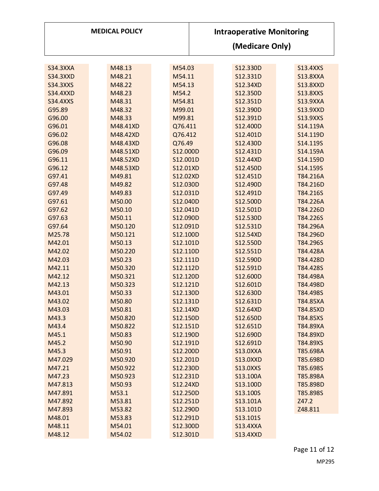| <b>MEDICAL POLICY</b> |          |          | <b>Intraoperative Monitoring</b><br>(Medicare Only) |                 |  |                 |
|-----------------------|----------|----------|-----------------------------------------------------|-----------------|--|-----------------|
|                       |          |          |                                                     |                 |  |                 |
| <b>S34.3XXA</b>       | M48.13   | M54.03   |                                                     | S12.330D        |  | <b>S13.4XXS</b> |
| <b>S34.3XXD</b>       | M48.21   | M54.11   |                                                     | S12.331D        |  | <b>S13.8XXA</b> |
| <b>S34.3XXS</b>       | M48.22   | M54.13   |                                                     | S12.34XD        |  | <b>S13.8XXD</b> |
| <b>S34.4XXD</b>       | M48.23   | M54.2    |                                                     | S12.350D        |  | <b>S13.8XXS</b> |
| <b>S34.4XXS</b>       | M48.31   | M54.81   |                                                     | S12.351D        |  | <b>S13.9XXA</b> |
| G95.89                | M48.32   | M99.01   |                                                     | S12.390D        |  | <b>S13.9XXD</b> |
| G96.00                | M48.33   | M99.81   |                                                     | S12.391D        |  | <b>S13.9XXS</b> |
| G96.01                | M48.41XD | Q76.411  |                                                     | S12.400D        |  | S14.119A        |
| G96.02                | M48.42XD | Q76.412  |                                                     | S12.401D        |  | S14.119D        |
| G96.08                | M48.43XD | Q76.49   |                                                     | S12.430D        |  | S14.119S        |
| G96.09                | M48.51XD | S12.000D |                                                     | S12.431D        |  | S14.159A        |
| G96.11                | M48.52XD | S12.001D |                                                     | S12.44XD        |  | S14.159D        |
| G96.12                | M48.53XD | S12.01XD |                                                     | S12.450D        |  | S14.159S        |
| G97.41                | M49.81   | S12.02XD |                                                     | S12.451D        |  | T84.216A        |
| G97.48                | M49.82   | S12.030D |                                                     | S12.490D        |  | T84.216D        |
| G97.49                | M49.83   | S12.031D |                                                     | S12.491D        |  | T84.216S        |
| G97.61                | M50.00   | S12.040D |                                                     | S12.500D        |  | T84.226A        |
| G97.62                | M50.10   | S12.041D |                                                     | S12.501D        |  | T84.226D        |
| G97.63                | M50.11   | S12.090D |                                                     | S12.530D        |  | T84.226S        |
| G97.64                | M50.120  | S12.091D |                                                     | S12.531D        |  | T84.296A        |
| M25.78                | M50.121  | S12.100D |                                                     | S12.54XD        |  | T84.296D        |
| M42.01                | M50.13   | S12.101D |                                                     | S12.550D        |  | T84.296S        |
| M42.02                | M50.220  | S12.110D |                                                     | S12.551D        |  | T84.428A        |
| M42.03                | M50.23   | S12.111D |                                                     | S12.590D        |  | T84.428D        |
| M42.11                | M50.320  | S12.112D |                                                     | S12.591D        |  | T84.428S        |
| M42.12                | M50.321  | S12.120D |                                                     | S12.600D        |  | T84.498A        |
| M42.13                | M50.323  | S12.121D |                                                     | S12.601D        |  | T84.498D        |
| M43.01                | M50.33   | S12.130D |                                                     | S12.630D        |  | T84.498S        |
| M43.02                | M50.80   | S12.131D |                                                     | S12.631D        |  | T84.85XA        |
| M43.03                | M50.81   | S12.14XD |                                                     | S12.64XD        |  | T84.85XD        |
| M43.3                 | M50.820  | S12.150D |                                                     | S12.650D        |  | T84.85XS        |
| M43.4                 | M50.822  | S12.151D |                                                     | S12.651D        |  | T84.89XA        |
| M45.1                 | M50.83   | S12.190D |                                                     | S12.690D        |  | T84.89XD        |
| M45.2                 | M50.90   | S12.191D |                                                     | S12.691D        |  | T84.89XS        |
| M45.3                 | M50.91   | S12.200D |                                                     | <b>S13.0XXA</b> |  | T85.698A        |
| M47.029               | M50.920  | S12.201D |                                                     | <b>S13.0XXD</b> |  | T85.698D        |
| M47.21                | M50.922  | S12.230D |                                                     | <b>S13.0XXS</b> |  | T85.698S        |
| M47.23                | M50.923  | S12.231D |                                                     | S13.100A        |  | T85.898A        |
| M47.813               | M50.93   | S12.24XD |                                                     | S13.100D        |  | T85.898D        |
| M47.891               | M53.1    | S12.250D |                                                     | S13.100S        |  | T85.898S        |
| M47.892               | M53.81   | S12.251D |                                                     | S13.101A        |  | Z47.2           |
| M47.893               | M53.82   | S12.290D |                                                     | S13.101D        |  | Z48.811         |
| M48.01                | M53.83   | S12.291D |                                                     | S13.101S        |  |                 |
| M48.11                | M54.01   | S12.300D |                                                     | <b>S13.4XXA</b> |  |                 |
| M48.12                | M54.02   | S12.301D |                                                     | <b>S13.4XXD</b> |  |                 |